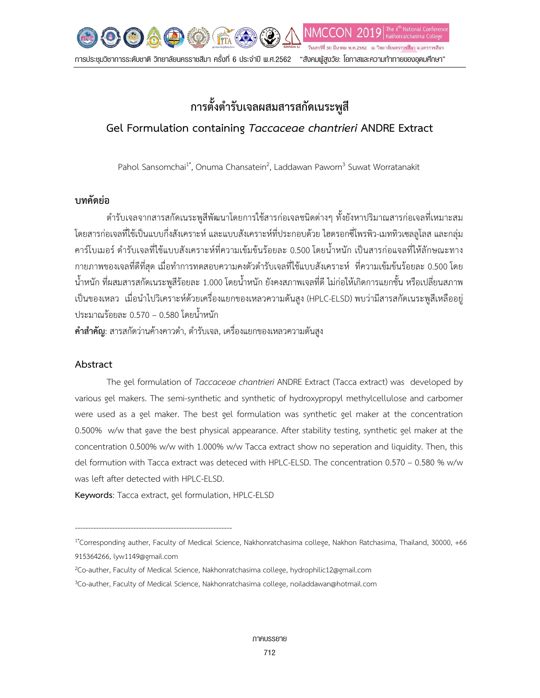

# **การตั้งตํารับเจลผสมสารสกัดเนระพูสี**

# **Gel Formulation containing** *Taccaceae chantrieri* **ANDRE Extract**

Pahol Sansomchai<sup>1\*</sup>, Onuma Chansatein<sup>2</sup>, Laddawan Paworn<sup>3</sup> Suwat Worratanakit

## **บทคัดยอ**

ตํารับเจลจากสารสกัดเนระพูสีพัฒนาโดยการใชสารกอเจลชนิดตางๆ ทั้งยังหาปริมาณสารกอเจลที่เหมาะสม โดยสารกอเจลที่ใชเปนแบบกึ่งสังเคราะห และแบบสังเคราะหที่ประกอบดวย ไฮดรอกซี่โพรพิว-เมททิวเซลลูโลส และกลุม คาร์โบเมอร์ ตำรับเจลที่ใช้แบบสังเคราะห์ที่ความเข้มข้นร้อยละ 0.500 โดยน้ำหนัก เป็นสารก่อแจลที่ให้ลักษณะทาง กายภาพของเจลที่ดีที่สุด เมื่อทําการทดสอบความคงตัวตํารับเจลที่ใชแบบสังเคราะห ที่ความเขมขนรอยละ 0.500 โดย น้ําหนัก ที่ผสมสารสกัดเนระพูสีรอยละ 1.000 โดยน้ําหนัก ยังคงสภาพเจลที่ดี ไมกอใหเกิดการแยกชั้น หรือเปลี่ยนสภาพ เป็นของเหลว เมื่อนำไปวิเคราะห์ด้วยเครื่องแยกของเหลวความดันสูง (HPLC-ELSD) พบว่ามีสารสกัดเนระพูสีเหลืออยู่ ประมาณรอยละ 0.570 – 0.580 โดยน้ําหนัก **คําสําคัญ**: สารสกัดวานคางคาวดํา, ตํารับเจล, เครื่องแยกของเหลวความดันสูง

### **Abstract**

The gel formulation of *Taccaceae chantrieri* ANDRE Extract (Tacca extract) was developed by various gel makers. The semi-synthetic and synthetic of hydroxypropyl methylcellulose and carbomer were used as a gel maker. The best gel formulation was synthetic gel maker at the concentration 0.500% w/w that gave the best physical appearance. After stability testing, synthetic gel maker at the concentration 0.500% w/w with 1.000% w/w Tacca extract show no seperation and liquidity. Then, this del formution with Tacca extract was deteced with HPLC-ELSD. The concentration 0.570 – 0.580 % w/w was left after detected with HPLC-ELSD.

**Keywords**: Tacca extract, gel formulation, HPLC-ELSD

-----------------------------------------------------------

<sup>1\*</sup>Corresponding auther, Faculty of Medical Science, Nakhonratchasima college, Nakhon Ratchasima, Thailand, 30000, +66 915364266, lyw1149@gmail.com

<sup>2</sup> Co-auther, Faculty of Medical Science, Nakhonratchasima college, hydrophilic12@gmail.com

<sup>3</sup> Co-auther, Faculty of Medical Science, Nakhonratchasima college, noiladdawan@hotmail.com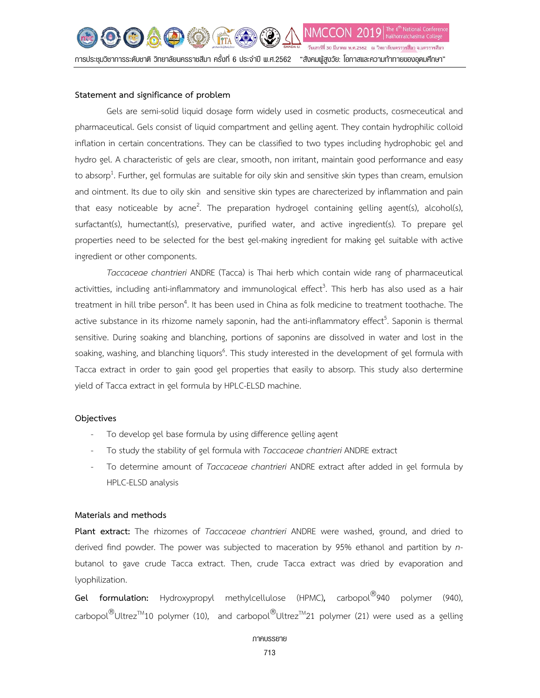#### **Statement and significance of problem**

Gels are semi-solid liquid dosage form widely used in cosmetic products, cosmeceutical and pharmaceutical. Gels consist of liquid compartment and gelling agent. They contain hydrophilic colloid inflation in certain concentrations. They can be classified to two types including hydrophobic gel and hydro gel. A characteristic of gels are clear, smooth, non irritant, maintain good performance and easy to absorp<sup>1</sup>. Further, gel formulas are suitable for oily skin and sensitive skin types than cream, emulsion and ointment. Its due to oily skin and sensitive skin types are charecterized by inflammation and pain that easy noticeable by acne<sup>2</sup>. The preparation hydrogel containing gelling agent(s), alcohol(s), surfactant(s), humectant(s), preservative, purified water, and active ingredient(s). To prepare gel properties need to be selected for the best gel-making ingredient for making gel suitable with active ingredient or other components.

*Taccaceae chantrieri* ANDRE (Tacca) is Thai herb which contain wide rang of pharmaceutical activitties, including anti-inflammatory and immunological effect<sup>3</sup>. This herb has also used as a hair treatment in hill tribe person<sup>4</sup>. It has been used in China as folk medicine to treatment toothache. The active substance in its rhizome namely saponin, had the anti-inflammatory effect<sup>5</sup>. Saponin is thermal sensitive. During soaking and blanching, portions of saponins are dissolved in water and lost in the soaking, washing, and blanching liquors<sup>6</sup>. This study interested in the development of gel formula with Tacca extract in order to gain good gel properties that easily to absorp. This study also dertermine yield of Tacca extract in gel formula by HPLC-ELSD machine.

#### **Objectives**

- To develop gel base formula by using difference gelling agent
- To study the stability of gel formula with *Taccaceae chantrieri* ANDRE extract
- To determine amount of *Taccaceae chantrieri* ANDRE extract after added in gel formula by HPLC-ELSD analysis

#### **Materials and methods**

**Plant extract:** The rhizomes of *Taccaceae chantrieri* ANDRE were washed, ground, and dried to derived find powder. The power was subjected to maceration by 95% ethanol and partition by *n*butanol to gave crude Tacca extract. Then, crude Tacca extract was dried by evaporation and lyophilization.

Gel formulation: Hydroxypropyl methylcellulose (HPMC), carbopol<sup>®</sup>940 polymer (940). carbopol $^{\circledR}$ Ultrez<sup>TM</sup>10 polymer (10), and carbopol $^{\circledR}$ Ultrez<sup>TM</sup>21 polymer (21) were used as a gelling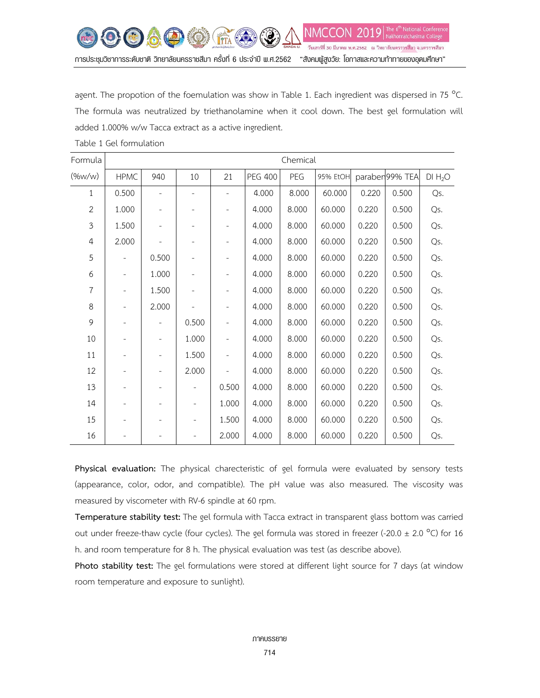

agent. The propotion of the foemulation was show in Table 1. Each ingredient was dispersed in 75 °C. The formula was neutralized by triethanolamine when it cool down. The best gel formulation will added 1.000% w/w Tacca extract as a active ingredient.

| Formula        | Chemical                 |       |                          |                          |                |       |          |       |                |                     |
|----------------|--------------------------|-------|--------------------------|--------------------------|----------------|-------|----------|-------|----------------|---------------------|
| (96W/W)        | <b>HPMC</b>              | 940   | 10                       | 21                       | <b>PEG 400</b> | PEG   | 95% EtOH |       | paraben99% TEA | DI H <sub>2</sub> O |
| $\mathbf{1}$   | 0.500                    |       |                          |                          | 4.000          | 8.000 | 60.000   | 0.220 | 0.500          | Qs.                 |
| $\overline{2}$ | 1.000                    |       |                          |                          | 4.000          | 8.000 | 60.000   | 0.220 | 0.500          | Qs.                 |
| $\mathfrak{Z}$ | 1.500                    |       |                          | ÷                        | 4.000          | 8.000 | 60.000   | 0.220 | 0.500          | Qs.                 |
| 4              | 2.000                    |       |                          | ÷                        | 4.000          | 8.000 | 60.000   | 0.220 | 0.500          | Qs.                 |
| 5              |                          | 0.500 |                          |                          | 4.000          | 8.000 | 60.000   | 0.220 | 0.500          | Qs.                 |
| 6              | $\overline{\phantom{a}}$ | 1.000 |                          |                          | 4.000          | 8.000 | 60.000   | 0.220 | 0.500          | Qs.                 |
| $\overline{7}$ | $\overline{\phantom{a}}$ | 1.500 |                          | ÷                        | 4.000          | 8.000 | 60.000   | 0.220 | 0.500          | Qs.                 |
| 8              |                          | 2.000 |                          |                          | 4.000          | 8.000 | 60.000   | 0.220 | 0.500          | Qs.                 |
| 9              |                          |       | 0.500                    | ÷                        | 4.000          | 8.000 | 60.000   | 0.220 | 0.500          | Qs.                 |
| 10             |                          |       | 1.000                    | $\overline{\phantom{0}}$ | 4.000          | 8.000 | 60.000   | 0.220 | 0.500          | Qs.                 |
| 11             |                          | ۰     | 1.500                    | $\overline{\phantom{0}}$ | 4.000          | 8.000 | 60.000   | 0.220 | 0.500          | Qs.                 |
| 12             |                          |       | 2.000                    |                          | 4.000          | 8.000 | 60.000   | 0.220 | 0.500          | Qs.                 |
| 13             |                          |       | $\overline{\phantom{0}}$ | 0.500                    | 4.000          | 8.000 | 60.000   | 0.220 | 0.500          | Qs.                 |
| 14             |                          |       | -                        | 1.000                    | 4.000          | 8.000 | 60.000   | 0.220 | 0.500          | Qs.                 |
| 15             |                          |       |                          | 1.500                    | 4.000          | 8.000 | 60.000   | 0.220 | 0.500          | Qs.                 |
| 16             |                          |       |                          | 2.000                    | 4.000          | 8.000 | 60.000   | 0.220 | 0.500          | Qs.                 |

Table 1 Gel formulation

**Physical evaluation:** The physical charecteristic of gel formula were evaluated by sensory tests (appearance, color, odor, and compatible). The pH value was also measured. The viscosity was measured by viscometer with RV-6 spindle at 60 rpm.

**Temperature stability test:** The gel formula with Tacca extract in transparent glass bottom was carried out under freeze-thaw cycle (four cycles). The gel formula was stored in freezer (-20.0  $\pm$  2.0 °C) for 16 h. and room temperature for 8 h. The physical evaluation was test (as describe above).

**Photo stability test:** The gel formulations were stored at different light source for 7 days (at window room temperature and exposure to sunlight).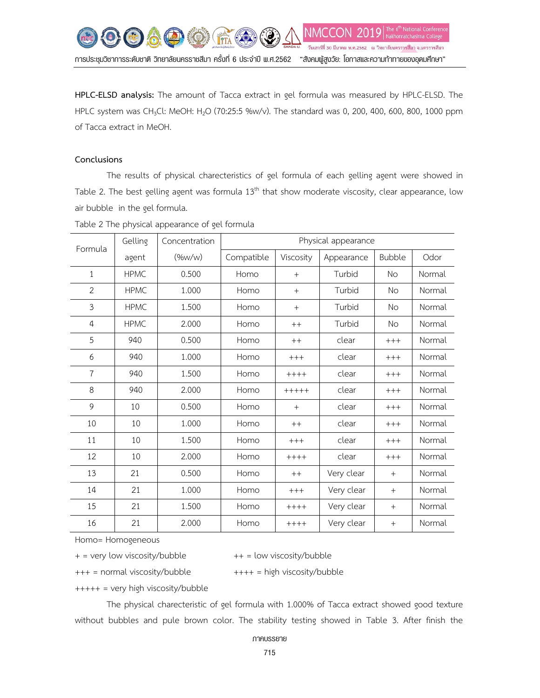

**HPLC-ELSD analysis:** The amount of Tacca extract in gel formula was measured by HPLC-ELSD. The HPLC system was CH<sub>3</sub>Cl: MeOH: H<sub>2</sub>O (70:25:5 %w/v). The standard was 0, 200, 400, 600, 800, 1000 ppm of Tacca extract in MeOH.

#### **Conclusions**

The results of physical charecteristics of gel formula of each gelling agent were showed in Table 2. The best gelling agent was formula 13<sup>th</sup> that show moderate viscosity, clear appearance, low air bubble in the gel formula.

| Formula        | Gelling     | Concentration | Physical appearance |           |            |           |        |  |  |
|----------------|-------------|---------------|---------------------|-----------|------------|-----------|--------|--|--|
|                | agent       | $(\%w/w)$     | Compatible          | Viscosity | Appearance | Bubble    | Odor   |  |  |
| 1              | <b>HPMC</b> | 0.500         | Homo                | $^{+}$    | Turbid     | <b>No</b> | Normal |  |  |
| $\overline{2}$ | <b>HPMC</b> | 1.000         | Homo                | $+$       | Turbid     | <b>No</b> | Normal |  |  |
| 3              | <b>HPMC</b> | 1.500         | Homo                | $+$       | Turbid     | <b>No</b> | Normal |  |  |
| 4              | <b>HPMC</b> | 2.000         | Homo                | $++$      | Turbid     | <b>No</b> | Normal |  |  |
| 5              | 940         | 0.500         | Homo                | $^{++}$   | clear      | $+++$     | Normal |  |  |
| 6              | 940         | 1.000         | Homo                | $+++$     | clear      | $+++$     | Normal |  |  |
| $\overline{7}$ | 940         | 1.500         | Homo                | $++++$    | clear      | $+++$     | Normal |  |  |
| 8              | 940         | 2.000         | Homo                | $+++++$   | clear      | $+++$     | Normal |  |  |
| 9              | 10          | 0.500         | Homo                | $+$       | clear      | $+++$     | Normal |  |  |
| 10             | 10          | 1.000         | Homo                | $++$      | clear      | $+++$     | Normal |  |  |
| 11             | 10          | 1.500         | Homo                | $+++$     | clear      | $+++$     | Normal |  |  |
| 12             | 10          | 2.000         | Homo                | $++++$    | clear      | $+++$     | Normal |  |  |
| 13             | 21          | 0.500         | Homo                | $++$      | Very clear | $+$       | Normal |  |  |
| 14             | 21          | 1.000         | Homo                | $+++$     | Very clear | $^{+}$    | Normal |  |  |
| 15             | 21          | 1.500         | Homo                | $+++++$   | Very clear | $^{+}$    | Normal |  |  |
| 16             | 21          | 2.000         | Homo                | $++++$    | Very clear | $^{+}$    | Normal |  |  |

Homo= Homogeneous

 $+$  = very low viscosity/bubble  $++$  = low viscosity/bubble

+++ = normal viscosity/bubble ++++ = high viscosity/bubble

+++++ = very high viscosity/bubble

The physical charecteristic of gel formula with 1.000% of Tacca extract showed good texture without bubbles and pule brown color. The stability testing showed in Table 3. After finish the

ภาคบรรยาย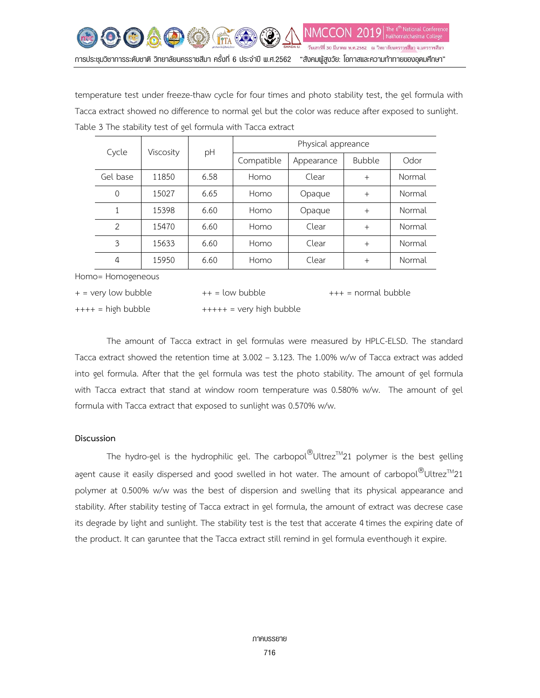temperature test under freeze-thaw cycle for four times and photo stability test, the gel formula with Tacca extract showed no difference to normal gel but the color was reduce after exposed to sunlight. Table 3 The stability test of gel formula with Tacca extract

| Cycle         | Viscosity | pH   | Physical appreance |            |               |        |  |  |
|---------------|-----------|------|--------------------|------------|---------------|--------|--|--|
|               |           |      | Compatible         | Appearance | <b>Bubble</b> | Odor   |  |  |
| Gel base      | 11850     | 6.58 | Homo               | Clear      | $+$           | Normal |  |  |
| $\Omega$      | 15027     | 6.65 | Homo               | Opaque     | $+$           | Normal |  |  |
|               | 15398     | 6.60 | Homo               | Opaque     | $^{+}$        | Normal |  |  |
| $\mathcal{P}$ | 15470     | 6.60 | Homo               | Clear      | $+$           | Normal |  |  |
| 3             | 15633     | 6.60 | Homo               | Clear      | $^{+}$        | Normal |  |  |
| 4             | 15950     | 6.60 | Homo               | Clear      | $^{+}$        | Normal |  |  |

Homo= Homogeneous

| + = very low bubble | $++ =$ low bubble                | $+++$ = normal bubble |
|---------------------|----------------------------------|-----------------------|
| ++++ = high bubble  | $++++ = \text{very high bubble}$ |                       |

The amount of Tacca extract in gel formulas were measured by HPLC-ELSD. The standard Tacca extract showed the retention time at 3.002 – 3.123. The 1.00% w/w of Tacca extract was added into gel formula. After that the gel formula was test the photo stability. The amount of gel formula with Tacca extract that stand at window room temperature was 0.580% w/w. The amount of gel formula with Tacca extract that exposed to sunlight was 0.570% w/w.

#### **Discussion**

The hydro-gel is the hydrophilic gel. The carbopol<sup>®</sup>Ultrez<sup>TM</sup>21 polymer is the best gelling agent cause it easily dispersed and good swelled in hot water. The amount of carbopol $^{\circledR}$ Ultrez $^{\text{TM}}$ 21 polymer at 0.500% w/w was the best of dispersion and swelling that its physical appearance and stability. After stability testing of Tacca extract in gel formula, the amount of extract was decrese case its degrade by light and sunlight. The stability test is the test that accerate 4times the expiring date of the product. It can garuntee that the Tacca extract still remind in gel formula eventhough it expire.